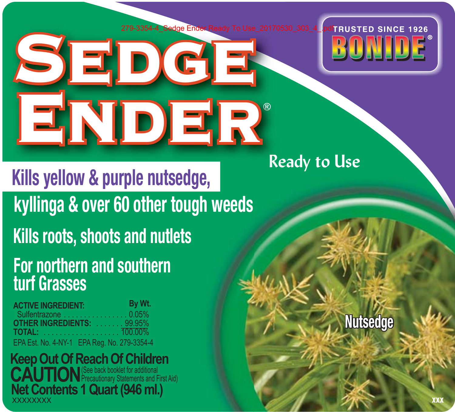279-3354-4\_Sedge Ender Ready To Use\_20170530\_303\_4\_.pdf



**For northern and southern For northern and southern turf Grasses Kills roots, shoots and nutlets kyllinga & over 60 other tough weeds Kills yellow & purple nutsedge,** *kills yellow & purple nuiseage,***<br>kyllinga & over 60 other tough<br>Kills roots, shoots and nutlets<br>For northern and southern<br>turf Grasses** 

**Sedge**

**Ender**

| <b>ACTIVE INGREDIENT:</b>                   | By Wt. |
|---------------------------------------------|--------|
| Sulfentrazone 0.05%                         |        |
| <b>OTHER INGREDIENTS:  99.95%</b>           |        |
|                                             |        |
| EPA Est. No. 4-NY-1 EPA Reg. No. 279-3354-4 |        |

**Next Aid Precauses Statements and First Aid)**<br>
Net Contents 1 Quart (946 ml.)<br>

<u>Precessors</u> **Keep Out Of Reach Of Children CAUTION**<sup>(See back booklet for additional)</sup>

**Ready to Use Re**

**®**

# **Nutsedge**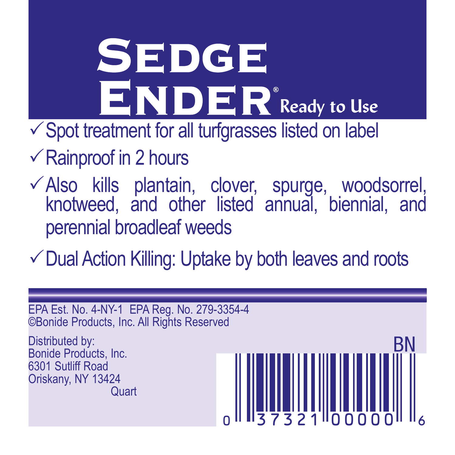**SEDGE**  $ENDER^*$  Ready to Use  $\checkmark$  Spot treatment for all turfgrasses listed on label

- $\checkmark$  Rainproof in 2 hours
- $\checkmark$  Also kills plantain, clover, spurge, woodsorrel, knotweed, and other listed annual, biennial, and perennial broadleaf weeds

 $\checkmark$  Dual Action Killing: Uptake by both leaves and roots

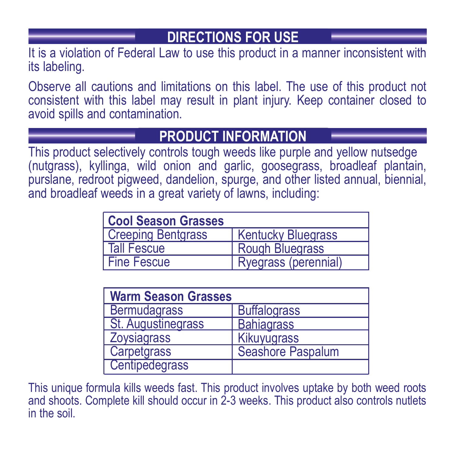## **DIRECTIONS FOR USE**

It is a violation of Federal Law to use this product in a manner inconsistent with its labeling.

Observe all cautions and limitations on this label. The use of this product not consistent with this label may result in plant injury. Keep container closed to avoid spills and contamination.

### **PRODUCT INFORMATION**

This product selectively controls tough weeds like purple and yellow nutsedge (nutgrass), kyllinga, wild onion and garlic, goosegrass, broadleaf plantain, purslane, redroot pigweed, dandelion, spurge, and other listed annual, biennial, and broadleaf weeds in a great variety of lawns, including:

| <b>Cool Season Grasses</b> |                           |
|----------------------------|---------------------------|
| <b>Creeping Bentgrass</b>  | <b>Kentucky Bluegrass</b> |
| <b>Tall Fescue</b>         | <b>Rough Bluegrass</b>    |
| <b>Fine Fescue</b>         | Ryegrass (perennial)      |

| <b>Warm Season Grasses</b> |                     |
|----------------------------|---------------------|
| <b>Bermudagrass</b>        | <b>Buffalograss</b> |
| <b>St. Augustinegrass</b>  | <b>Bahiagrass</b>   |
| <b>Zovsiagrass</b>         | Kikuyugrass         |
| Carpetgrass                | Seashore Paspalum   |
| Centipedegrass             |                     |

This unique formula kills weeds fast. This product involves uptake by both weed roots and shoots. Complete kill should occur in 2-3 weeks. This product also controls nutlets in the soil.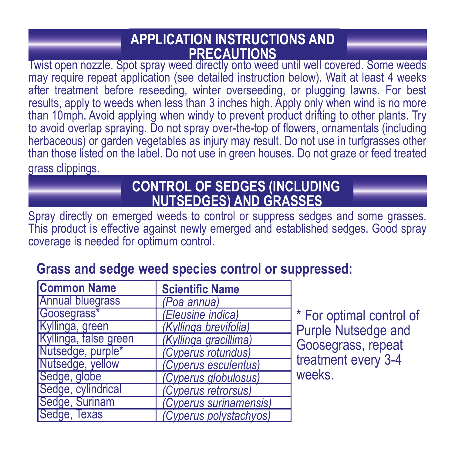### **APPLICATION INSTRUCTIONS AND PRECAUTIONS**

Twist open nozzle. Spot spray weed directly onto weed until well covered. Some weeds may require repeat application (see detailed instruction below). Wait at least 4 weeks after treatment before reseeding, winter overseeding, or plugging lawns. For best results, apply to weeds when less than 3 inches high. Apply only when wind is no more than 10mph. Avoid applying when windy to prevent product drifting to other plants. Try to avoid overlap spraying. Do not spray over-the-top of flowers, ornamentals (including herbaceous) or garden vegetables as injury may result. Do not use in turfgrasses other than those listed on the label. Do not use in green houses. Do not graze or feed treated grass clippings.

## **CONTROL OF SEDGES (INCLUDING NUTSEDGES) AND GRASSES**

Spray directly on emerged weeds to control or suppress sedges and some grasses. This product is effective against newly emerged and established sedges. Good spray coverage is needed for optimum control.

## **Grass and sedge weed species control or suppressed:**

| <b>Common Name</b>      | <b>Scientific Name</b> |  |
|-------------------------|------------------------|--|
| <b>Annual bluegrass</b> | (Poa annua)            |  |
| Goosegrass*             | (Eleusine indica)      |  |
| Kyllinga, green         | (Kyllinga brevifolia)  |  |
| Kyllinga, false green   | (Kyllinga gracillima)  |  |
| Nutsedge, purple*       | (Cyperus rotundus)     |  |
| Nutsedge, yellow        | (Cyperus esculentus)   |  |
| Sedge, globe            | (Cyperus globulosus)   |  |
| Sedge, cylindrical      | (Cyperus retrorsus)    |  |
| Sedge, Surinam          | (Cyperus surinamensis) |  |
| Sedge, Texas            | (Cyperus polystachyos) |  |

\* For optimal control of Purple Nutsedge and Goosegrass, repeat treatment every 3-4 weeks.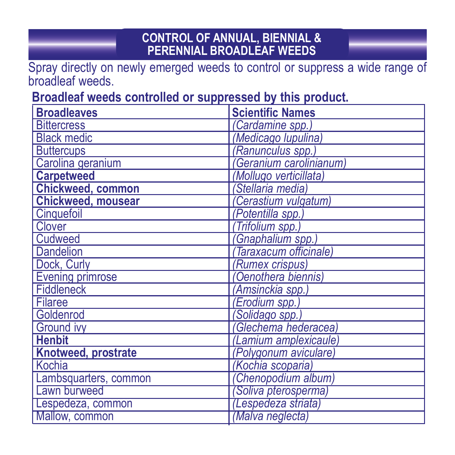### **CONTROL OF ANNUAL, BIENNIAL & PERENNIAL BROADLEAF WEEDS**

## Spray directly on newly emerged weeds to control or suppress a wide range of broadleaf weeds.

## **Broadleaf weeds controlled or suppressed by this product.**

| <b>Broadleaves</b>    | <b>Scientific Names</b> |
|-----------------------|-------------------------|
| <b>Bittercress</b>    | (Cardamine spp.)        |
| <b>Black medic</b>    | (Medicago lupulina)     |
| <b>Buttercups</b>     | (Ranunculus spp.)       |
| Carolina geranium     | (Geranium carolinianum) |
| <b>Carpetweed</b>     | (Mollugo verticillata)  |
| Chickweed, common     | (Stellaria media)       |
| Chickweed, mousear    | (Cerastium vulgatum)    |
| Cinquefoil            | (Potentilla spp.)       |
| Clover                | (Trifolium spp.)        |
| Cudweed               | (Gnaphalium spp.)       |
| Dandelion             | (Taraxacum officinale)  |
| Dock. Curly           | (Rumex crispus)         |
| Evening primrose      | (Oenothera biennis)     |
| Fiddleneck            | (Amsinckia spp.)        |
| Filaree               | (Erodium spp.)          |
| Goldenrod             | (Solidago spp.)         |
| Ground ivy            | (Glechema hederacea)    |
| <b>Henbit</b>         | (Lamium amplexicaule)   |
| Knotweed, prostrate   | (Polygonum aviculare)   |
| Kochia                | (Kochia scoparia)       |
| Lambsquarters, common | (Chenopodium album)     |
| Lawn burweed          | (Soliva pterosperma)    |
| Lespedeza, common     | (Lespedeza striata)     |
| Mallow, common        | (Malva neglecta)        |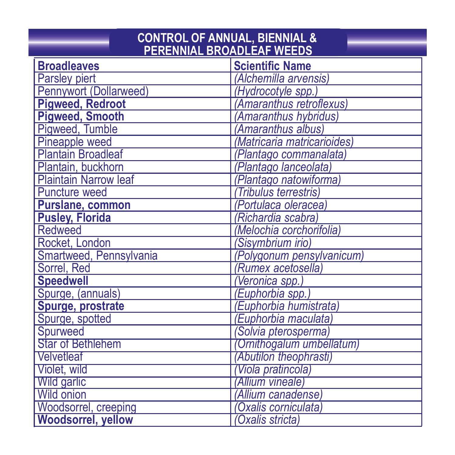| <b>CONTROL OF ANNUAL, BIENNIAL &amp;</b><br>PERENNIAL BROADLEAF WEEDS |                             |  |
|-----------------------------------------------------------------------|-----------------------------|--|
| <b>Broadleaves</b>                                                    | <b>Scientific Name</b>      |  |
| Parsley piert                                                         | (Alchemilla arvensis)       |  |
| Pennywort (Dollarweed)                                                | (Hydrocotyle spp.)          |  |
| <b>Pigweed, Redroot</b>                                               | (Amaranthus retroflexus)    |  |
| <b>Pigweed, Smooth</b>                                                | (Amaranthus hybridus)       |  |
| Piqweed, Tumble                                                       | (Amaranthus albus)          |  |
| Pineapple weed                                                        | (Matricaria matricarioides) |  |
| <b>Plantain Broadleaf</b>                                             | (Plantago commanalata)      |  |
| Plantain, buckhorn                                                    | (Plantago lanceolata)       |  |
| <b>Plaintain Narrow leaf</b>                                          | (Plantago natowiforma)      |  |
| Puncture weed                                                         | (Tribulus terrestris)       |  |
| Purslane, common                                                      | (Portulaca oleracea)        |  |
| Pusley, Florida                                                       | (Richardia scabra)          |  |
| Redweed                                                               | (Melochia corchorifolia)    |  |
| Rocket, London                                                        | (Sisymbrium irio)           |  |
| Smartweed, Pennsylvania                                               | (Polygonum pensylvanicum)   |  |
| Sorrel, Red                                                           | (Rumex acetosella)          |  |
| <b>Speedwell</b>                                                      | (Veronica spp.)             |  |
| Spurge, (annuals)                                                     | (Euphorbia spp.)            |  |
| Spurge, prostrate                                                     | (Euphorbia humistrata)      |  |
| Spurge, spotted                                                       | (Euphorbia maculata)        |  |
| Spurweed                                                              | (Solvia pterosperma)        |  |
| <b>Star of Bethlehem</b>                                              | (Ornithogalum umbellatum)   |  |
| Velvetleaf                                                            | (Abutilon theophrasti)      |  |
| Violet, wild                                                          | Viola pratincola)           |  |
| Wild garlic                                                           | (Allium vineale)            |  |
| <b>Wild onion</b>                                                     | (Allium canadense)          |  |
| Woodsorrel, creeping                                                  | Oxalis corniculata)         |  |
| <b>Woodsorrel, yellow</b>                                             | (Oxalis stricta)            |  |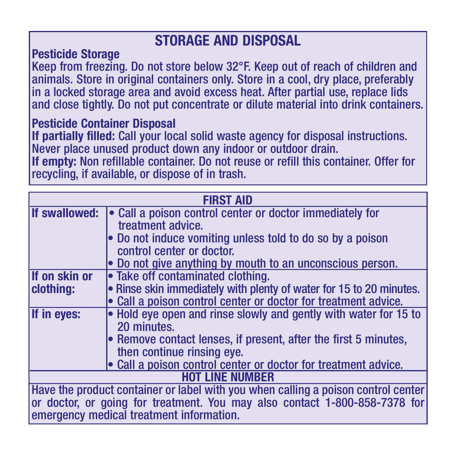## **STORAGE AND DISPOSAL**

### **Pesticide Storage**

Keep from freezing. Do not store below 32°F. Keep out of reach of children and animals. Store in original containers only. Store in a cool, dry place, preferably in a locked storage area and avoid excess heat. After partial use, replace lids and close tightly. Do not put concentrate or dilute material into drink containers.

### **Pesticide Container Disposal**

**If partially filled:** Call your local solid waste agency for disposal instructions. Never place unused product down any indoor or outdoor drain.

**If empty:** Non refillable container. Do not reuse or refill this container. Offer for<br>recycling, if available, or dispose of in trash.

| <b>FIRST AID</b>                                                                                                                                                                                            |                                                                                                                                                                                                                                                                    |
|-------------------------------------------------------------------------------------------------------------------------------------------------------------------------------------------------------------|--------------------------------------------------------------------------------------------------------------------------------------------------------------------------------------------------------------------------------------------------------------------|
| If swallowed:                                                                                                                                                                                               | • Call a poison control center or doctor immediately for<br>treatment advice.<br>Do not induce vomiting unless told to do so by a poison<br>control center or doctor.<br>• Do not give anything by mouth to an unconscious person.                                 |
| If on skin or<br>clothing:                                                                                                                                                                                  | • Take off contaminated clothing.<br>• Rinse skin immediately with plenty of water for 15 to 20 minutes.<br>• Call a poison control center or doctor for treatment advice.                                                                                         |
| If in eves:                                                                                                                                                                                                 | $\bullet$ Hold eve open and rinse slowly and gently with water for 15 to<br>20 minutes.<br>$\bullet$ Remove contact lenses, if present, after the first 5 minutes.<br>then continue rinsing eye.<br>• Call a poison control center or doctor for treatment advice. |
| <b>HOT LINE NUMBER</b>                                                                                                                                                                                      |                                                                                                                                                                                                                                                                    |
| Have the product container or label with you when calling a poison control center<br>or doctor, or going for treatment. You may also contact 1-800-858-7378 for<br>emergency medical treatment information. |                                                                                                                                                                                                                                                                    |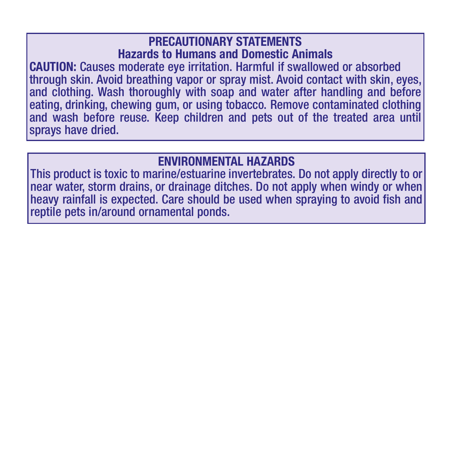#### **PRECAUTIONARY STATEMENTS Hazards to Humans and Domestic Animals**

**CAUTION:** Causes moderate eye irritation. Harmful if swallowed or absorbed through skin. Avoid breathing vapor or spray mist. Avoid contact with skin, eyes, and clothing. Wash thoroughly with soap and water after handling and before eating, drinking, chewing gum, or using tobacco. Remove contaminated clothing and wash before reuse. Keep children and pets out of the treated area until sprays have dried.

### **ENVIRONMENTAL HAZARDS**

This product is toxic to marine/estuarine invertebrates. Do not apply directly to or near water, storm drains, or drainage ditches. Do not apply when windy or when heavy rainfall is expected. Care should be used when spraying to avoid fish and reptile pets in/around ornamental ponds.